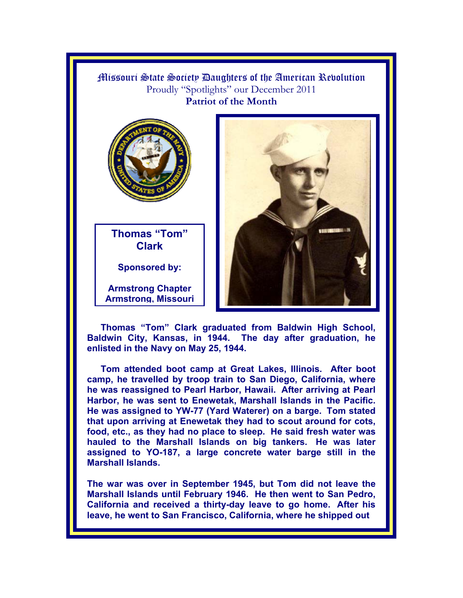

**Thomas "Tom" Clark graduated from Baldwin High School, Baldwin City, Kansas, in 1944. The day after graduation, he enlisted in the Navy on May 25, 1944.** 

**Tom attended boot camp at Great Lakes, Illinois. After boot camp, he travelled by troop train to San Diego, California, where he was reassigned to Pearl Harbor, Hawaii. After arriving at Pearl Harbor, he was sent to Enewetak, Marshall Islands in the Pacific. He was assigned to YW-77 (Yard Waterer) on a barge. Tom stated that upon arriving at Enewetak they had to scout around for cots, food, etc., as they had no place to sleep. He said fresh water was hauled to the Marshall Islands on big tankers. He was later assigned to YO-187, a large concrete water barge still in the Marshall Islands.** 

**The war was over in September 1945, but Tom did not leave the Marshall Islands until February 1946. He then went to San Pedro, California and received a thirty-day leave to go home. After his leave, he went to San Francisco, California, where he shipped out**